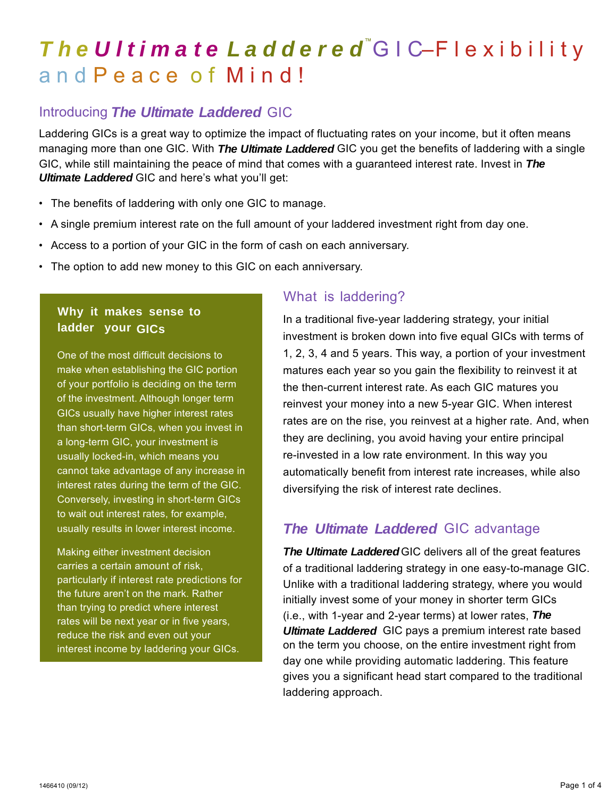# *The Ultimate Laddered* ™GIC–Flexibility and Peace of Mind!

## Introducing *The Ultimate Laddered* GIC

Laddering GICs is a great way to optimize the impact of fluctuating rates on your income, but it often means managing more than one GIC. With *The Ultimate Laddered* GIC you get the benefits of laddering with a single GIC, while still maintaining the peace of mind that comes with a guaranteed interest rate. Invest in *The Ultimate Laddered* GIC and here's what you'll get:

- The benefits of laddering with only one GIC to manage.
- A single premium interest rate on the full amount of your laddered investment right from day one.
- Access to a portion of your GIC in the form of cash on each anniversary.
- The option to add new money to this GIC on each anniversary.

### **Why it makes sense to ladder your GICs**

One of the most difficult decisions to make when establishing the GIC portion of your portfolio is deciding on the term of the investment. Although longer term GICs usually have higher interest rates than short-term GICs, when you invest in a long-term GIC, your investment is usually locked-in, which means you cannot take advantage of any increase in interest rates during the term of the GIC. Conversely, investing in short-term GICs to wait out interest rates, for example, usually results in lower interest income.

Making either investment decision carries a certain amount of risk, particularly if interest rate predictions for the future aren't on the mark. Rather than trying to predict where interest rates will be next year or in five years, reduce the risk and even out your interest income by laddering your GICs.

### What is laddering?

In a traditional five-year laddering strategy, your initial investment is broken down into five equal GICs with terms of 1, 2, 3, 4 and 5 years. This way, a portion of your investment matures each year so you gain the flexibility to reinvest it at the then-current interest rate. As each GIC matures you reinvest your money into a new 5-year GIC. When interest rates are on the rise, you reinvest at a higher rate. And, when they are declining, you avoid having your entire principal re-invested in a low rate environment. In this way you automatically benefit from interest rate increases, while also diversifying the risk of interest rate declines.

# *The Ultimate Laddered* GIC advantage

*The Ultimate Laddered* GIC delivers all of the great features of a traditional laddering strategy in one easy-to-manage GIC. Unlike with a traditional laddering strategy, where you would initially invest some of your money in shorter term GICs (i.e., with 1-year and 2-year terms) at lower rates, *The Ultimate Laddered* GIC pays a premium interest rate based on the term you choose, on the entire investment right from day one while providing automatic laddering. This feature gives you a significant head start compared to the traditional laddering approach.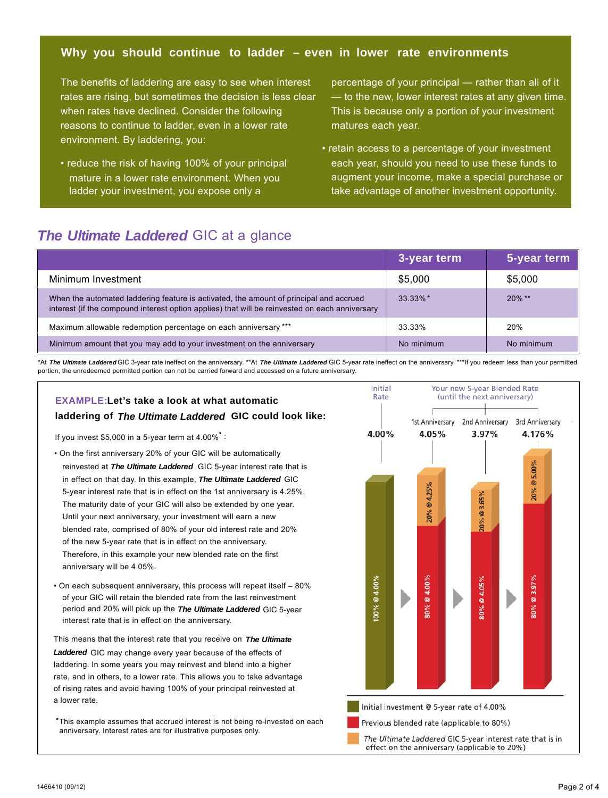#### **Why you should continue to ladder – even in lower rate environments**

The benefits of laddering are easy to see when interest rates are rising, but sometimes the decision is less clear when rates have declined. Consider the following reasons to continue to ladder, even in a lower rate environment. By laddering, you:

• reduce the risk of having 100% of your principal mature in a lower rate environment. When you ladder your investment, you expose only a

percentage of your principal — rather than all of it — to the new, lower interest rates at any given time. This is because only a portion of your investment matures each year.

• retain access to a percentage of your investment each year, should you need to use these funds to augment your income, make a special purchase or take advantage of another investment opportunity.

### *The Ultimate Laddered* GIC at a glance

|                                                                                                                                                                                          | 3-year term | 5-year term |
|------------------------------------------------------------------------------------------------------------------------------------------------------------------------------------------|-------------|-------------|
| Minimum Investment                                                                                                                                                                       | \$5,000     | \$5.000     |
| When the automated laddering feature is activated, the amount of principal and accrued<br>interest (if the compound interest option applies) that will be reinvested on each anniversary | $33.33\%$ * | $20\%$ **   |
| Maximum allowable redemption percentage on each anniversary ***                                                                                                                          | 33.33%      | 20%         |
| Minimum amount that you may add to your investment on the anniversary                                                                                                                    | No minimum  | No minimum  |

\*At *The Ultimate Laddered* GIC 3-year rate ineffect on the anniversary. \*\*At *The Ultimate Laddered* GIC 5-year rate ineffect on the anniversary. \*\*\*If you redeem less than your permitted portion, the unredeemed permitted portion can not be carried forward and accessed on a future anniversary.

### **EXAMPLE:Let's take a look at what automatic laddering of** *The Ultimate Laddered* **GIC could look like:**

If you invest \$5,000 in a 5-year term at 4.00%**\*** :

- On the first anniversary 20% of your GIC will be automatically reinvested at *The Ultimate Laddered* GIC 5-year interest rate that is in effect on that day. In this example, *The Ultimate Laddered* GIC 5-year interest rate that is in effect on the 1st anniversary is 4.25%. The maturity date of your GIC will also be extended by one year. Until your next anniversary, your investment will earn a new blended rate, comprised of 80% of your old interest rate and 20% of the new 5-year rate that is in effect on the anniversary. Therefore, in this example your new blended rate on the first anniversary will be 4.05%.
- On each subsequent anniversary, this process will repeat itself 80% of your GIC will retain the blended rate from the last reinvestment period and 20% will pick up the *The Ultimate Laddered* GIC 5-year interest rate that is in effect on the anniversary.

This means that the interest rate that you receive on *The Ultimate Laddered* GIC may change every year because of the effects of laddering. In some years you may reinvest and blend into a higher rate, and in others, to a lower rate. This allows you to take advantage of rising rates and avoid having 100% of your principal reinvested at a lower rate.

**\***This example assumes that accrued interest is not being re-invested on each anniversary. Interest rates are for illustrative purposes only.

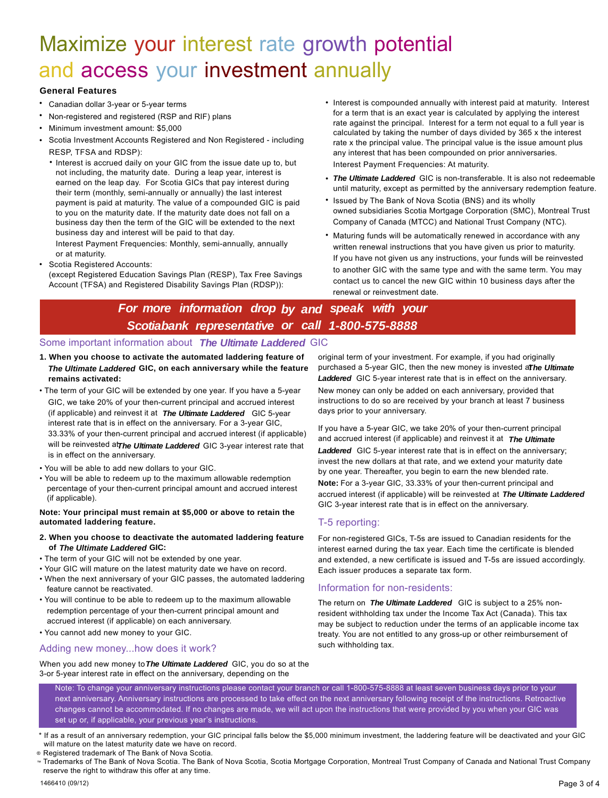# Maximize your interest rate growth potential and access your investment annually

#### **General Features**

- Canadian dollar 3-year or 5-year terms
- Non-registered and registered (RSP and RIF) plans
- Minimum investment amount: \$5,000
- Scotia Investment Accounts Registered and Non Registered - including RESP, TFSA and RDSP):
	- Interest is accrued daily on your GIC from the issue date up to, but not including, the maturity date. During a leap year, interest is earned on the leap day. For Scotia GICs that pay interest during their term (monthly, semi-annually or annually) the last interest payment is paid at maturity. The value of a compounded GIC is paid to you on the maturity date. If the maturity date does not fall on a business day then the term of the GIC will be extended to the next business day and interest will be paid to that day. Interest Payment Frequencies: Monthly, semi-annually, annually

or at maturity.

• Scotia Registered Accounts:

(except Registered Education Savings Plan (RESP), Tax Free Savings Account (TFSA) and Registered Disability Savings Plan (RDSP)):

- Interest is compounded annually with interest paid at maturity. Interest for a term that is an exact year is calculated by applying the interest rate against the principal. Interest for a term not equal to a full year is calculated by taking the number of days divided by 365 x the interest rate x the principal value. The principal value is the issue amount plus any interest that has been compounded on prior anniversaries. Interest Payment Frequencies: At maturity.
- *The Ultimate Laddered* GIC is non-transferable. It is also not redeemable until maturity, except as permitted by the anniversary redemption feature.
- Issued by The Bank of Nova Scotia (BNS) and its wholly owned subsidiaries Scotia Mortgage Corporation (SMC), Montreal Trust Company of Canada (MTCC) and National Trust Company (NTC).
- Maturing funds will be automatically renewed in accordance with any written renewal instructions that you have given us prior to maturity. If you have not given us any instructions, your funds will be reinvested to another GIC with the same type and with the same term. You may contact us to cancel the new GIC within 10 business days after the renewal or reinvestment date.

## *For more information drop by and speak with your* Scotiabank representative or call 1-800-575-8888

#### Some important information about *The Ultimate Laddered* GIC

- **1. When you choose to activate the automated laddering feature of** *The Ultimate Laddered* **GIC, on each anniversary while the feature remains activated:**
- The term of your GIC will be extended by one year. If you have a 5-year GIC, we take 20% of your then-current principal and accrued interest (if applicable) and reinvest it at *The Ultimate Laddered* GIC 5-year interest rate that is in effect on the anniversary. For a 3-year GIC, 33.33% of your then-current principal and accrued interest (if applicable) will be reinvested at *The Ultimate Laddered* GIC 3-year interest rate that is in effect on the anniversary.
- You will be able to add new dollars to your GIC.
- You will be able to redeem up to the maximum allowable redemption percentage of your then-current principal amount and accrued interest (if applicable).

#### **Note: Your principal must remain at \$5,000 or above to retain the automated laddering feature. \***

#### **2. When you choose to deactivate the automated laddering feature** *The Ultimate Laddered* **GIC: of**

- The term of your GIC will not be extended by one year.
- Your GIC will mature on the latest maturity date we have on record.
- When the next anniversary of your GIC passes, the automated laddering feature cannot be reactivated.
- You will continue to be able to redeem up to the maximum allowable redemption percentage of your then-current principal amount and accrued interest (if applicable) on each anniversary.
- You cannot add new money to your GIC.

#### Adding new money...how does it work?

original term of your investment. For example, if you had originally purchased a 5-year GIC, then the new money is invested at*The Ultimate Laddered* GIC 5-year interest rate that is in effect on the anniversary.

New money can only be added on each anniversary, provided that instructions to do so are received by your branch at least 7 business days prior to your anniversary.

If you have a 5-year GIC, we take 20% of your then-current principal and accrued interest (if applicable) and reinvest it at *The Ultimate*

*Laddered* GIC 5-year interest rate that is in effect on the anniversary; invest the new dollars at that rate, and we extend your maturity date by one year. Thereafter, you begin to earn the new blended rate. **Note:** For a 3-year GIC, 33.33% of your then-current principal and accrued interest (if applicable) will be reinvested at *The Ultimate Laddered* GIC 3-year interest rate that is in effect on the anniversary.

### T-5 reporting:

For non-registered GICs, T-5s are issued to Canadian residents for the interest earned during the tax year. Each time the certificate is blended and extended, a new certificate is issued and T-5s are issued accordingly. Each issuer produces a separate tax form.

#### Information for non-residents:

The return on The Ultimate Laddered GIC is subject to a 25% nonresident withholding tax under the Income Tax Act (Canada). This tax may be subject to reduction under the terms of an applicable income tax treaty. You are not entitled to any gross-up or other reimbursement of such withholding tax.

When you add new money to *The Ultimate Laddered* GIC, you do so at the 3-or 5-year interest rate in effect on the anniversary, depending on the

Note: To change your anniversary instructions please contact your branch or call 1-800-575-8888 at least seven business days prior to your next anniversary. Anniversary instructions are processed to take effect on the next anniversary following receipt of the instructions. Retroactive changes cannot be accommodated. If no changes are made, we will act upon the instructions that were provided by you when your GIC was set up or, if applicable, your previous year's instructions.

<sup>\*</sup> If as a result of an anniversary redemption, your GIC principal falls below the \$5,000 minimum investment, the laddering feature will be deactivated and your GIC will mature on the latest maturity date we have on record.

Registered trademark of The Bank of Nova Scotia. ®

<sup>™</sup> Trademarks of The Bank of Nova Scotia. The Bank of Nova Scotia, Scotia Mortgage Corporation, Montreal Trust Company of Canada and National Trust Company reserve the right to withdraw this offer at any time.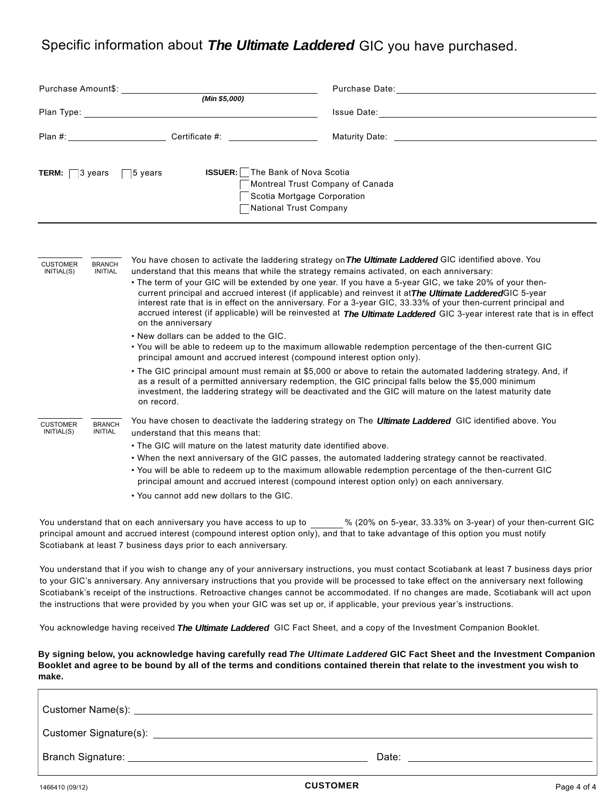### Specific information about *The Ultimate Laddered* GIC you have purchased.

| Purchase Amount\$: Note that the set of the set of the set of the set of the set of the set of the set of the s<br>(Min \$5,000)                                                  |                                                                                                                                                                                                                                                   | Purchase Date: The contract of the contract of the contract of the contract of the contract of the contract of the contract of the contract of the contract of the contract of the contract of the contract of the contract of                                                                                                                                                                                                                                                                                                                                                                                                                                                          |  |                        |
|-----------------------------------------------------------------------------------------------------------------------------------------------------------------------------------|---------------------------------------------------------------------------------------------------------------------------------------------------------------------------------------------------------------------------------------------------|-----------------------------------------------------------------------------------------------------------------------------------------------------------------------------------------------------------------------------------------------------------------------------------------------------------------------------------------------------------------------------------------------------------------------------------------------------------------------------------------------------------------------------------------------------------------------------------------------------------------------------------------------------------------------------------------|--|------------------------|
|                                                                                                                                                                                   |                                                                                                                                                                                                                                                   |                                                                                                                                                                                                                                                                                                                                                                                                                                                                                                                                                                                                                                                                                         |  | Plan #: Certificate #: |
| <b>ISSUER:</b> The Bank of Nova Scotia<br><b>TERM:</b> $\Box$ 3 years $\Box$ 5 years<br>Montreal Trust Company of Canada<br>Scotia Mortgage Corporation<br>National Trust Company |                                                                                                                                                                                                                                                   |                                                                                                                                                                                                                                                                                                                                                                                                                                                                                                                                                                                                                                                                                         |  |                        |
| <b>CUSTOMER</b><br><b>BRANCH</b><br>INITIAL(S)<br><b>INITIAL</b>                                                                                                                  | understand that this means that while the strategy remains activated, on each anniversary:<br>on the anniversary<br>• New dollars can be added to the GIC.                                                                                        | You have chosen to activate the laddering strategy on The Ultimate Laddered GIC identified above. You<br>• The term of your GIC will be extended by one year. If you have a 5-year GIC, we take 20% of your then-<br>current principal and accrued interest (if applicable) and reinvest it at The Ultimate Laddered GIC 5-year<br>interest rate that is in effect on the anniversary. For a 3-year GIC, 33.33% of your then-current principal and<br>accrued interest (if applicable) will be reinvested at The Ultimate Laddered GIC 3-year interest rate that is in effect<br>. You will be able to redeem up to the maximum allowable redemption percentage of the then-current GIC |  |                        |
|                                                                                                                                                                                   | principal amount and accrued interest (compound interest option only).<br>on record.                                                                                                                                                              | • The GIC principal amount must remain at \$5,000 or above to retain the automated laddering strategy. And, if<br>as a result of a permitted anniversary redemption, the GIC principal falls below the \$5,000 minimum<br>investment, the laddering strategy will be deactivated and the GIC will mature on the latest maturity date                                                                                                                                                                                                                                                                                                                                                    |  |                        |
| <b>CUSTOMER</b><br><b>BRANCH</b><br>INITIAL(S)<br><b>INITIAL</b>                                                                                                                  | understand that this means that:<br>. The GIC will mature on the latest maturity date identified above.<br>principal amount and accrued interest (compound interest option only) on each anniversary.<br>• You cannot add new dollars to the GIC. | You have chosen to deactivate the laddering strategy on The Ultimate Laddered GIC identified above. You<br>. When the next anniversary of the GIC passes, the automated laddering strategy cannot be reactivated.<br>. You will be able to redeem up to the maximum allowable redemption percentage of the then-current GIC                                                                                                                                                                                                                                                                                                                                                             |  |                        |
|                                                                                                                                                                                   |                                                                                                                                                                                                                                                   | You understand that on each anniversary you have access to up to $% (20%$ on 5-year, 33.33% on 3-year) of your then-current GIC                                                                                                                                                                                                                                                                                                                                                                                                                                                                                                                                                         |  |                        |

principal amount and accrued interest (compound interest option only), and that to take advantage of this option you must notify Scotiabank at least 7 business days prior to each anniversary.

You understand that if you wish to change any of your anniversary instructions, you must contact Scotiabank at least 7 business days prior to your GIC's anniversary. Any anniversary instructions that you provide will be processed to take effect on the anniversary next following Scotiabank's receipt of the instructions. Retroactive changes cannot be accommodated. If no changes are made, Scotiabank will act upon the instructions that were provided by you when your GIC was set up or, if applicable, your previous year's instructions.

You acknowledge having received *The Ultimate Laddered* GIC Fact Sheet, and a copy of the Investment Companion Booklet.

**By signing below, you acknowledge having carefully read**  *The Ultimate Laddered* **GIC Fact Sheet and the Investment Companion Booklet and agree to be bound by all of the terms and conditions contained therein that relate to the investment you wish to make.**

| Customer Signature(s): ____ |       |
|-----------------------------|-------|
| Branch Signature:           | Date: |